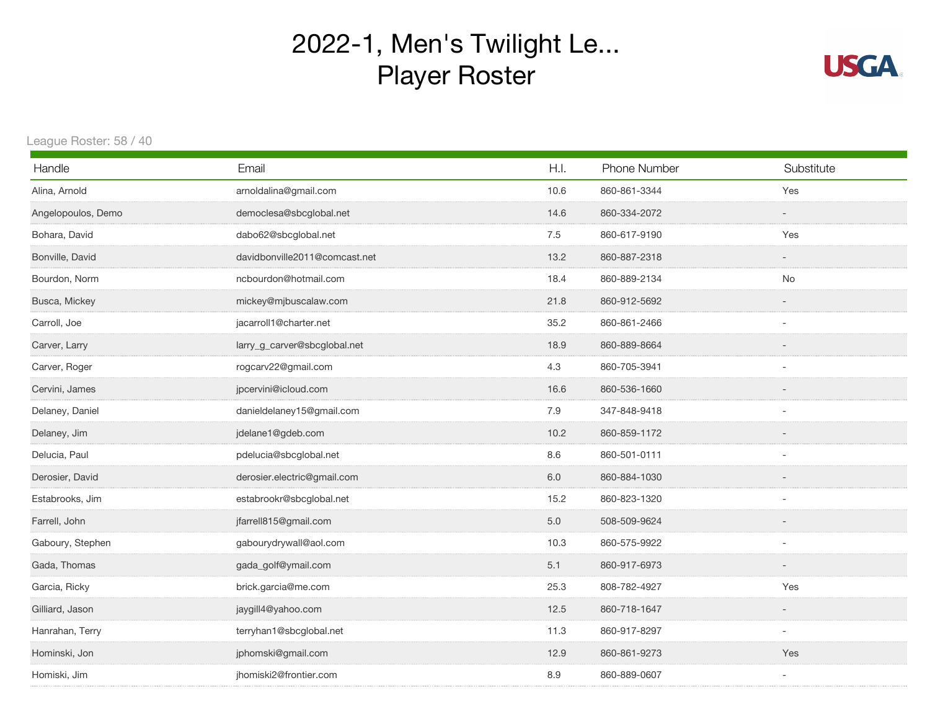## 2022-1, Men's Twilight Le... Player Roster



League Roster: 58 / 40

| Handle             | Email                         | H.I. | Phone Number | Substitute               |
|--------------------|-------------------------------|------|--------------|--------------------------|
| Alina, Arnold      | arnoldalina@gmail.com         | 10.6 | 860-861-3344 | Yes                      |
| Angelopoulos, Demo | democlesa@sbcglobal.net       | 14.6 | 860-334-2072 | $\overline{\phantom{a}}$ |
| Bohara, David      | dabo62@sbcglobal.net          | 7.5  | 860-617-9190 | Yes                      |
| Bonville, David    | davidbonville2011@comcast.net | 13.2 | 860-887-2318 |                          |
| Bourdon, Norm      | ncbourdon@hotmail.com         | 18.4 | 860-889-2134 | No                       |
| Busca, Mickey      | mickey@mjbuscalaw.com         | 21.8 | 860-912-5692 |                          |
| Carroll, Joe       | jacarroll1@charter.net        | 35.2 | 860-861-2466 |                          |
| Carver, Larry      | larry_g_carver@sbcglobal.net  | 18.9 | 860-889-8664 |                          |
| Carver, Roger      | rogcarv22@gmail.com           | 4.3  | 860-705-3941 | $\overline{\phantom{a}}$ |
| Cervini, James     | jpcervini@icloud.com          | 16.6 | 860-536-1660 |                          |
| Delaney, Daniel    | danieldelaney15@gmail.com     | 7.9  | 347-848-9418 | $\sim$                   |
| Delaney, Jim       | jdelane1@gdeb.com             | 10.2 | 860-859-1172 |                          |
| Delucia, Paul      | pdelucia@sbcglobal.net        | 8.6  | 860-501-0111 | $\overline{\phantom{a}}$ |
| Derosier, David    | derosier.electric@gmail.com   | 6.0  | 860-884-1030 |                          |
| Estabrooks, Jim    | estabrookr@sbcglobal.net      | 15.2 | 860-823-1320 |                          |
| Farrell, John      | jfarrell815@gmail.com         | 5.0  | 508-509-9624 |                          |
| Gaboury, Stephen   | gabourydrywall@aol.com        | 10.3 | 860-575-9922 |                          |
| Gada, Thomas       | gada_golf@ymail.com           | 5.1  | 860-917-6973 |                          |
| Garcia, Ricky      | brick.garcia@me.com           | 25.3 | 808-782-4927 | Yes                      |
| Gilliard, Jason    | jaygill4@yahoo.com            | 12.5 | 860-718-1647 | $\overline{\phantom{a}}$ |
| Hanrahan, Terry    | terryhan1@sbcglobal.net       | 11.3 | 860-917-8297 | $\sim$                   |
| Hominski, Jon      | jphomski@gmail.com            | 12.9 | 860-861-9273 | Yes                      |
| Homiski, Jim       | jhomiski2@frontier.com        | 8.9  | 860-889-0607 |                          |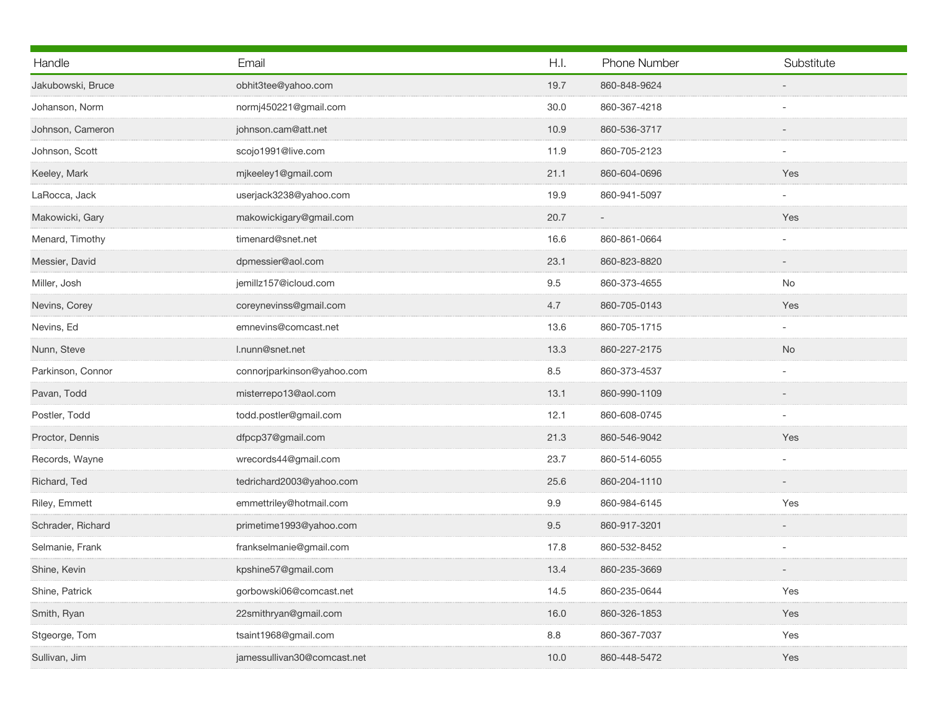| Email                       | H.I.    | Phone Number |                          |
|-----------------------------|---------|--------------|--------------------------|
|                             |         |              | Substitute               |
| obhit3tee@yahoo.com         | 19.7    | 860-848-9624 |                          |
| normj450221@gmail.com       | 30.0    | 860-367-4218 |                          |
| johnson.cam@att.net         | 10.9    | 860-536-3717 |                          |
| scojo1991@live.com          | 11.9    | 860-705-2123 |                          |
| mjkeeley1@gmail.com         | 21.1    | 860-604-0696 | Yes                      |
| userjack3238@yahoo.com      | 19.9    | 860-941-5097 |                          |
| makowickigary@gmail.com     | 20.7    |              | Yes                      |
| timenard@snet.net           | 16.6    | 860-861-0664 |                          |
| dpmessier@aol.com           | 23.1    | 860-823-8820 |                          |
| jemillz157@icloud.com       | 9.5     | 860-373-4655 | No                       |
| coreynevinss@gmail.com      | 4.7     | 860-705-0143 | Yes                      |
| emnevins@comcast.net        | 13.6    | 860-705-1715 | $\overline{\phantom{a}}$ |
| l.nunn@snet.net             | 13.3    | 860-227-2175 | No                       |
| connorjparkinson@yahoo.com  | 8.5     | 860-373-4537 |                          |
| misterrepo13@aol.com        | 13.1    | 860-990-1109 |                          |
| todd.postler@gmail.com      | 12.1    | 860-608-0745 |                          |
| dfpcp37@gmail.com           | 21.3    | 860-546-9042 | Yes                      |
| wrecords44@gmail.com        | 23.7    | 860-514-6055 |                          |
| tedrichard2003@yahoo.com    | 25.6    | 860-204-1110 |                          |
| emmettriley@hotmail.com     | 9.9     | 860-984-6145 | Yes                      |
| primetime1993@yahoo.com     | 9.5     | 860-917-3201 |                          |
| frankselmanie@gmail.com     | 17.8    | 860-532-8452 |                          |
| kpshine57@gmail.com         | 13.4    | 860-235-3669 |                          |
| gorbowski06@comcast.net     | 14.5    | 860-235-0644 | Yes                      |
| 22smithryan@gmail.com       | 16.0    | 860-326-1853 | Yes                      |
| tsaint1968@gmail.com        | $8.8\,$ | 860-367-7037 | Yes                      |
| jamessullivan30@comcast.net | 10.0    | 860-448-5472 | Yes                      |
|                             |         |              |                          |